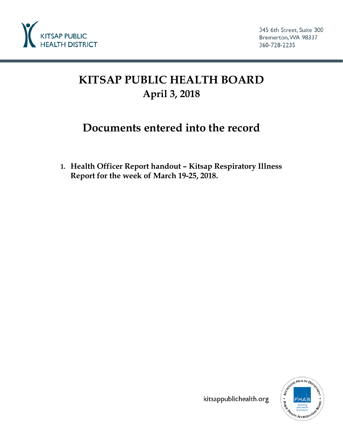

# **KITSAP PUBLIC HEALTH BOARD April 3, 2018**

# **Documents entered into the record**

**1. Health Officer Report handout – Kitsap Respiratory Illness Report for the week of March 19-25, 2018.**



kitsappublichealth.org